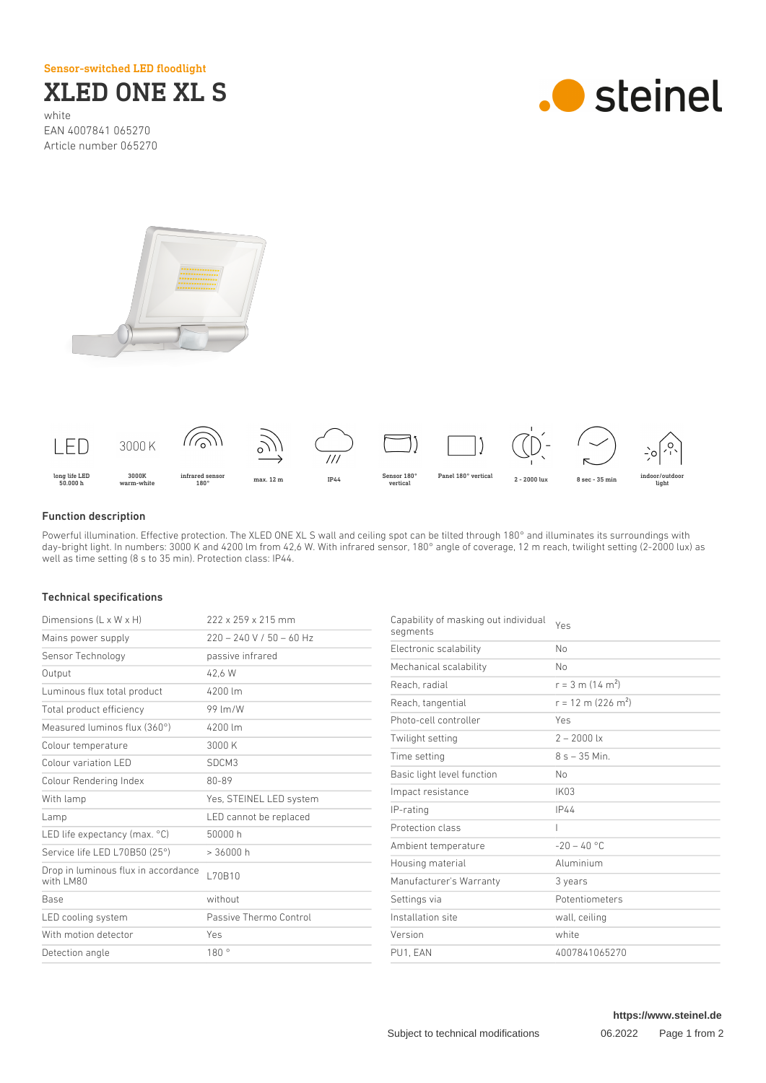Sensor-switched LED floodlight



white EAN 4007841 065270 Article number 065270







## Function description

Powerful illumination. Effective protection. The XLED ONE XL S wall and ceiling spot can be tilted through 180° and illuminates its surroundings with day-bright light. In numbers: 3000 K and 4200 lm from 42,6 W. With infrared sensor, 180° angle of coverage, 12 m reach, twilight setting (2-2000 lux) as well as time setting (8 s to 35 min). Protection class: IP44.

## Technical specifications

| Dimensions (L x W x H)                           | $222 \times 259 \times 215$ mm |
|--------------------------------------------------|--------------------------------|
| Mains power supply                               | $220 - 240$ V / 50 - 60 Hz     |
| Sensor Technology                                | passive infrared               |
| Output                                           | 42.6 W                         |
| Luminous flux total product                      | 4200 lm                        |
| Total product efficiency                         | 99 lm/W                        |
| Measured luminos flux (360°)                     | 4200 lm                        |
| Colour temperature                               | 3000 K                         |
| Colour variation LED                             | SDCM3                          |
| Colour Rendering Index                           | 80-89                          |
| With lamp                                        | Yes, STEINEL LED system        |
| Lamp                                             | LED cannot be replaced         |
| LED life expectancy (max. $^{\circ}$ C)          | 50000 h                        |
| Service life LED L70B50 (25°)                    | > 36000h                       |
| Drop in luminous flux in accordance<br>with LM80 | L70B10                         |
| <b>Base</b>                                      | without                        |
| LED cooling system                               | Passive Thermo Control         |
| With motion detector                             | Yes                            |
| Detection angle                                  | 180°                           |

| Capability of masking out individual<br>segments | Yes                              |
|--------------------------------------------------|----------------------------------|
| Electronic scalability                           | No                               |
| Mechanical scalability                           | No                               |
| Reach, radial                                    | $r = 3$ m (14 m <sup>2</sup> )   |
| Reach, tangential                                | $r = 12$ m (226 m <sup>2</sup> ) |
| Photo-cell controller                            | Yes                              |
| Twilight setting                                 | $2 - 2000$ lx                    |
| Time setting                                     | $8s - 35$ Min.                   |
| Basic light level function                       | No                               |
| Impact resistance                                | IK03                             |
| IP-rating                                        | <b>IP44</b>                      |
| Protection class                                 | $\overline{1}$                   |
| Ambient temperature                              | $-20 - 40$ °C                    |
| Housing material                                 | Aluminium                        |
| Manufacturer's Warranty                          | 3 years                          |
| Settings via                                     | Potentiometers                   |
| Installation site                                | wall, ceiling                    |
| Version                                          | white                            |
| PU1. EAN                                         | 4007841065270                    |